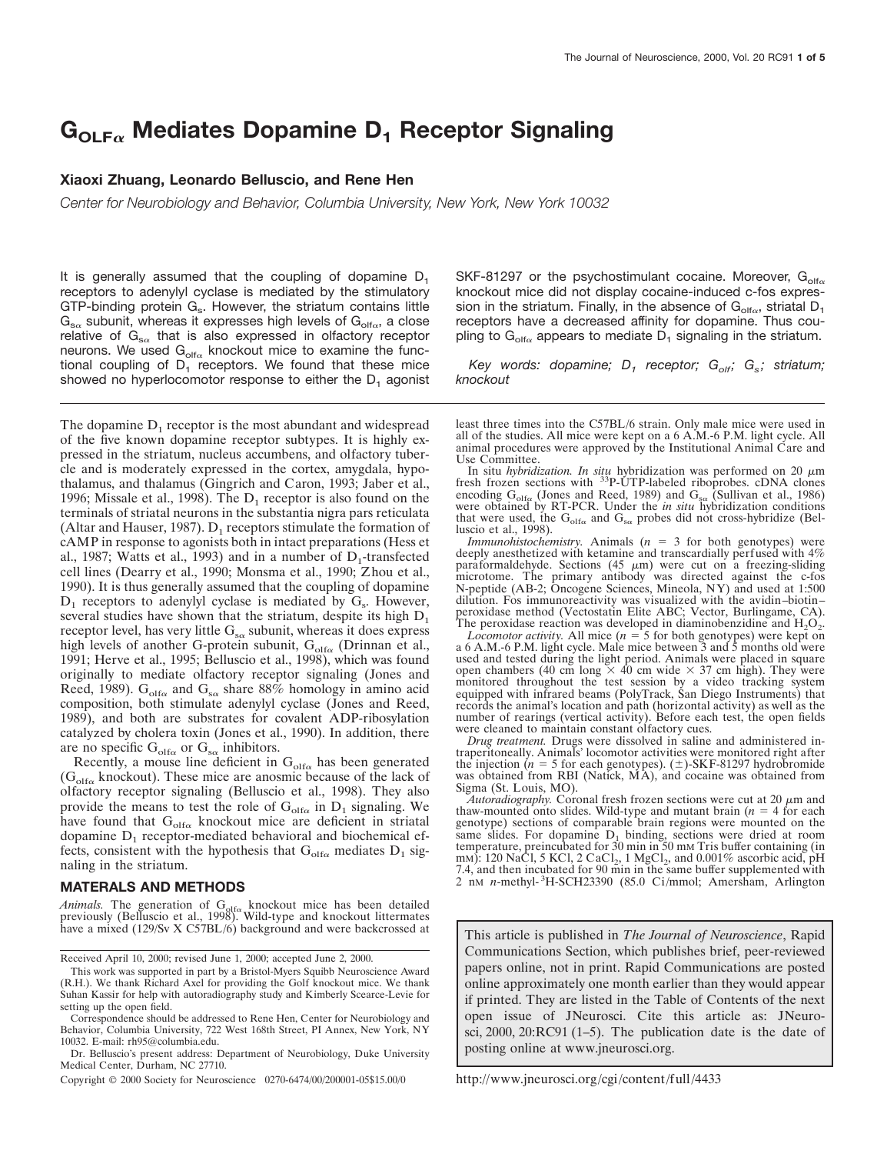# $G<sub>OLF</sub>$ <sup>a</sup> Mediates Dopamine D<sub>1</sub> Receptor Signaling

### **Xiaoxi Zhuang, Leonardo Belluscio, and Rene Hen**

*Center for Neurobiology and Behavior, Columbia University, New York, New York 10032*

It is generally assumed that the coupling of dopamine  $D_1$ receptors to adenylyl cyclase is mediated by the stimulatory GTP-binding protein  $G_s$ . However, the striatum contains little  $G_{s\alpha}$  subunit, whereas it expresses high levels of  $G_{\text{olf}\alpha}$ , a close relative of  $G_{s\alpha}$  that is also expressed in olfactory receptor neurons. We used  $G_{\text{oif}_\alpha}$  knockout mice to examine the functional coupling of  $D_1$  receptors. We found that these mice showed no hyperlocomotor response to either the  $D_1$  agonist

The dopamine  $D_1$  receptor is the most abundant and widespread of the five known dopamine receptor subtypes. It is highly expressed in the striatum, nucleus accumbens, and olfactory tubercle and is moderately expressed in the cortex, amygdala, hypothalamus, and thalamus (Gingrich and Caron, 1993; Jaber et al., 1996; Missale et al., 1998). The  $D_1$  receptor is also found on the terminals of striatal neurons in the substantia nigra pars reticulata (Altar and Hauser, 1987).  $D_1$  receptors stimulate the formation of cAMP in response to agonists both in intact preparations (Hess et al., 1987; Watts et al., 1993) and in a number of  $D_1$ -transfected cell lines (Dearry et al., 1990; Monsma et al., 1990; Zhou et al., 1990). It is thus generally assumed that the coupling of dopamine  $D_1$  receptors to adenylyl cyclase is mediated by  $G_s$ . However, several studies have shown that the striatum, despite its high  $D_1$ receptor level, has very little  $G_{s\alpha}$  subunit, whereas it does express high levels of another G-protein subunit,  $G_{\text{olfo}}$  (Drinnan et al., 1991; Herve et al., 1995; Belluscio et al., 1998), which was found originally to mediate olfactory receptor signaling (Jones and Reed, 1989).  $G_{\text{olfo}}$  and  $G_{\text{so}}$  share 88% homology in amino acid composition, both stimulate adenylyl cyclase (Jones and Reed, 1989), and both are substrates for covalent ADP-ribosylation catalyzed by cholera toxin (Jones et al., 1990). In addition, there are no specific  $G_{\text{olfo}}$  or  $G_{\text{sa}}$  inhibitors.

Recently, a mouse line deficient in  $G_{\text{olfo}}$  has been generated  $(G<sub>olfa</sub>$  knockout). These mice are anosmic because of the lack of olfactory receptor signaling (Belluscio et al., 1998). They also provide the means to test the role of  $G_{\text{olf}\alpha}$  in  $D_1$  signaling. We have found that  $G_{olf\alpha}$  knockout mice are deficient in striatal dopamine  $D_1$  receptor-mediated behavioral and biochemical effects, consistent with the hypothesis that  $G_{\text{olf}\alpha}$  mediates  $D_1$  signaling in the striatum.

#### **MATERALS AND METHODS**

*Animals*. The generation of  $G_{\text{olfo}}$  knockout mice has been detailed previously (Belluscio et al., 1998). Wild-type and knockout littermates have a mixed (129/Sv X C57BL/6) background and were backcrossed at

Received April 10, 2000; revised June 1, 2000; accepted June 2, 2000.

Copyright © 2000 Society for Neuroscience 0270-6474/00/200001-05\$15.00/0

SKF-81297 or the psychostimulant cocaine. Moreover,  $G_{\text{off}\alpha}$ knockout mice did not display cocaine-induced c-fos expression in the striatum. Finally, in the absence of  $G_{\text{olfo}}$ , striatal D<sub>1</sub> receptors have a decreased affinity for dopamine. Thus coupling to  $G_{\text{off}\alpha}$  appears to mediate  $D_1$  signaling in the striatum.

*Key words: dopamine; D<sub>1</sub> receptor; G<sub>olf</sub>; G<sub>s</sub>; striatum; knockout*

least three times into the C57BL/6 strain. Only male mice were used in all of the studies. All mice were kept on a 6 A.M.-6 P.M. light cycle. All animal procedures were approved by the Institutional Animal Care and Use Committee.

In situ *hybridization. In situ* hybridization was performed on 20  $\mu$ m fresh frozen sections with <sup>33</sup>P-UTP-labeled riboprobes. cDNA clones encoding  $G_{\text{off}\alpha}$  (Jones and Reed, 1989) and  $G_{\text{so}}$  (Sullivan et al., 1986) were obtained by RT-PCR. Under the *in situ* hybridization conditions that were used, the  $G_{\text{olfo}}$  and  $G_{\text{sc}}$  probes did not cross-hybridize (Belluscio et al., 1998).

*Immunohistochemistry*. Animals (*n* = 3 for both genotypes) were deeply anesthetized with ketamine and transcardially perfused with 4% paraformaldehyde. Sections (45  $\mu$ m) were cut on a freezing-sliding microtome. The primary antibody was directed against the c-fos N-peptide (AB-2; Oncogene Sciences, Mineola, NY) and used at 1:500 dilution. Fos immunoreactivity was visualized with the avidin–biotin– peroxidase method (Vectostatin Elite ABC; Vector, Burlingame, CA). The peroxidase reaction was developed in diaminobenzidine and  $H_2O_2$ .

*Locomotor activity.* All mice  $(n = 5$  for both genotypes) were kept on a 6 A.M.-6 P.M. light cycle. Male mice between 3 and 5 months old were used and tested during the light period. Animals were placed in square open chambers (40 cm long  $\times$  40 cm wide  $\times$  37 cm high). They were monitored throughout the test session by a video tracking system equipped with infrared beams (PolyTrack, San Diego Instruments) that records the animal's location and path (horizontal activity) as well as the number of rearings (vertical activity). Before each test, the open fields were cleaned to maintain constant olfactory cues.

*Drug treatment.* Drugs were dissolved in saline and administered intraperitoneally. Animals' locomotor activities were monitored right after the injection (*n* = 5 for each genotypes). ( $\pm$ )-SKF-81297 hydrobromide was obtained from RBI (Natick, MA), and cocaine was obtained from Sigma (St. Louis, MO).

 $\tilde{A}$ utoradiography. Coronal fresh frozen sections were cut at 20  $\mu$ m and thaw-mounted onto slides. Wild-type and mutant brain  $(n = 4$  for each genotype) sections of comparable brain regions were mounted on the same slides. For dopamine  $D_1$  binding, sections were dried at room temperature, preincubated for 30 min in 50 mM Tris buffer containing (in mM): 120 NaCl, 5 KCl, 2 CaCl<sub>2</sub>, 1 MgCl<sub>2</sub>, and 0.001% ascorbic acid, pH 7.4, and then incubated for 90 min in the same buffer supplemented with 2 nM *n*-methyl-<sup>3</sup>H-SCH23390 (85.0 Ci/mmol; Amersham, Arlington

This article is published in *The Journal of Neuroscience*, Rapid Communications Section, which publishes brief, peer-reviewed papers online, not in print. Rapid Communications are posted online approximately one month earlier than they would appear if printed. They are listed in the Table of Contents of the next open issue of JNeurosci. Cite this article as: JNeurosci, 2000, 20:RC91 (1–5). The publication date is the date of posting online at www.jneurosci.org.

http://www.jneurosci.org/cgi/content/full/4433

This work was supported in part by a Bristol-Myers Squibb Neuroscience Award (R.H.). We thank Richard Axel for providing the Golf knockout mice. We thank Suhan Kassir for help with autoradiography study and Kimberly Scearce-Levie for setting up the open field.

Correspondence should be addressed to Rene Hen, Center for Neurobiology and Behavior, Columbia University, 722 West 168th Street, PI Annex, New York, NY 10032. E-mail: rh95@columbia.edu.

Dr. Belluscio's present address: Department of Neurobiology, Duke University Medical Center, Durham, NC 27710.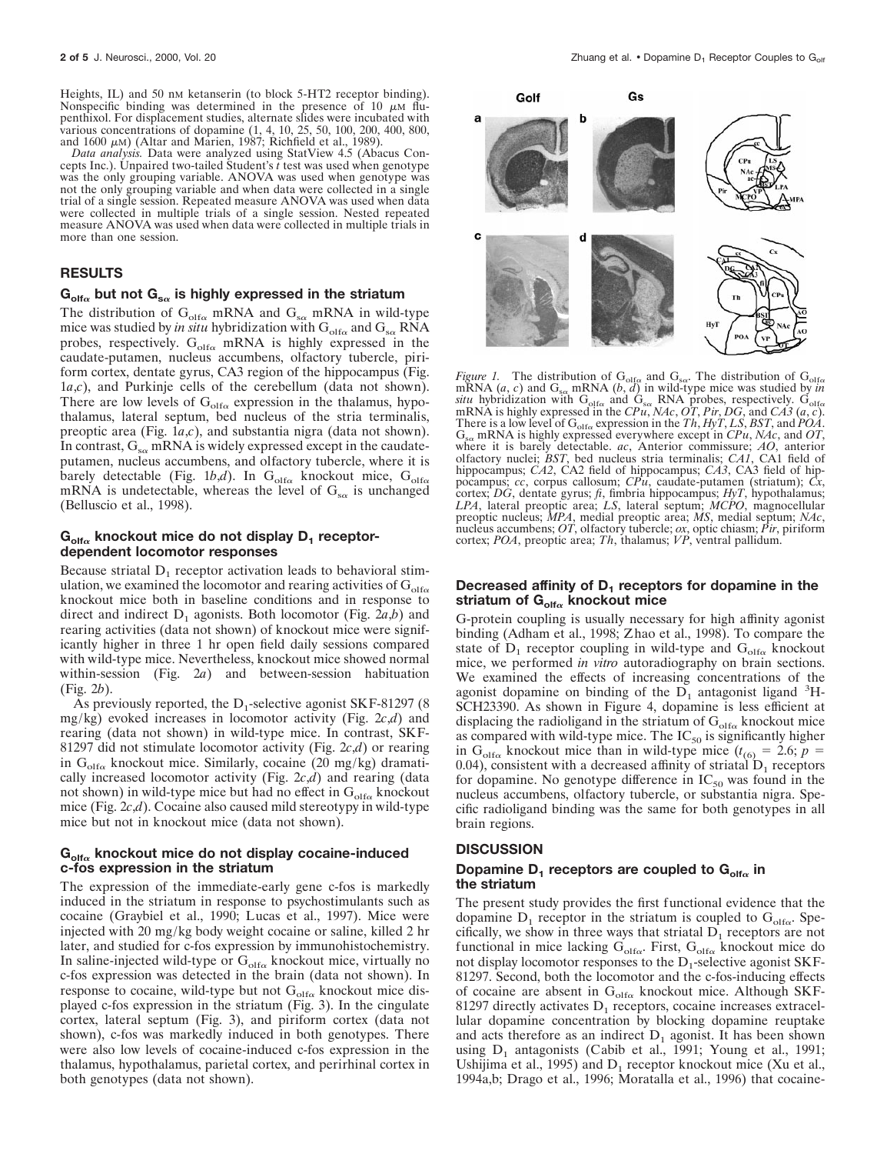Heights, IL) and 50 nm ketanserin (to block 5-HT2 receptor binding). Nonspecific binding was determined in the presence of 10  $\mu$ M flupenthixol. For displacement studies, alternate slides were incubated with various concentrations of dopamine (1, 4, 10, 25, 50, 100, 200, 400, 800, and 1600  $\mu$ M) (Altar and Marien, 1987; Richfield et al., 1989).

*Data analysis.* Data were analyzed using StatView 4.5 (Abacus Concepts Inc.). Unpaired two-tailed Student's *t* test was used when genotype was the only grouping variable. ANOVA was used when genotype was not the only grouping variable and when data were collected in a single trial of a single session. Repeated measure ANOVA was used when data were collected in multiple trials of a single session. Nested repeated measure ANOVA was used when data were collected in multiple trials in more than one session.

#### **RESULTS**

#### $G_{\text{off}\alpha}$  but not  $G_{\text{sa}}$  is highly expressed in the striatum

The distribution of  $G_{\text{olfo}}$  mRNA and  $G_{\text{sc}}$  mRNA in wild-type mice was studied by *in situ* hybridization with  $G_{\text{olfo}}$  and  $G_{\text{so}}$  RNA probes, respectively.  $G_{\text{olfo}}$  mRNA is highly expressed in the caudate-putamen, nucleus accumbens, olfactory tubercle, piriform cortex, dentate gyrus, CA3 region of the hippocampus (Fig. 1*a*,*c*), and Purkinje cells of the cerebellum (data not shown). There are low levels of  $G_{\text{olfo}}$  expression in the thalamus, hypothalamus, lateral septum, bed nucleus of the stria terminalis, preoptic area (Fig. 1*a*,*c*), and substantia nigra (data not shown). In contrast,  $G_{s\alpha}$  mRNA is widely expressed except in the caudateputamen, nucleus accumbens, and olfactory tubercle, where it is barely detectable (Fig. 1b,d). In  $G_{\text{olfo}}$  knockout mice,  $G_{\text{olfo}}$ mRNA is undetectable, whereas the level of  $G_{s\alpha}$  is unchanged (Belluscio et al., 1998).

## $G_{\text{off}\alpha}$  knockout mice do not display D<sub>1</sub> receptor**dependent locomotor responses**

Because striatal  $D_1$  receptor activation leads to behavioral stimulation, we examined the locomotor and rearing activities of  $G_{\text{olfo}}$ knockout mice both in baseline conditions and in response to direct and indirect  $D_1$  agonists. Both locomotor (Fig. 2*a,b*) and rearing activities (data not shown) of knockout mice were significantly higher in three 1 hr open field daily sessions compared with wild-type mice. Nevertheless, knockout mice showed normal within-session (Fig. 2*a*) and between-session habituation (Fig. 2*b*).

As previously reported, the  $D_1$ -selective agonist SKF-81297 (8) mg/kg) evoked increases in locomotor activity (Fig. 2*c*,*d*) and rearing (data not shown) in wild-type mice. In contrast, SKF-81297 did not stimulate locomotor activity (Fig. 2*c*,*d*) or rearing in  $G_{\text{off}\alpha}$  knockout mice. Similarly, cocaine (20 mg/kg) dramatically increased locomotor activity (Fig. 2*c*,*d*) and rearing (data not shown) in wild-type mice but had no effect in  $G_{\text{off}\alpha}$  knockout mice (Fig. 2*c*,*d*). Cocaine also caused mild stereotypy in wild-type mice but not in knockout mice (data not shown).

## $G_{\text{olf}\alpha}$  knockout mice do not display cocaine-induced **c-fos expression in the striatum**

The expression of the immediate-early gene c-fos is markedly induced in the striatum in response to psychostimulants such as cocaine (Graybiel et al., 1990; Lucas et al., 1997). Mice were injected with 20 mg/kg body weight cocaine or saline, killed 2 hr later, and studied for c-fos expression by immunohistochemistry. In saline-injected wild-type or  $G_{\text{off}\alpha}$  knockout mice, virtually no c-fos expression was detected in the brain (data not shown). In response to cocaine, wild-type but not  $G_{\text{olfo}}$  knockout mice displayed c-fos expression in the striatum (Fig. 3). In the cingulate cortex, lateral septum (Fig. 3), and piriform cortex (data not shown), c-fos was markedly induced in both genotypes. There were also low levels of cocaine-induced c-fos expression in the thalamus, hypothalamus, parietal cortex, and perirhinal cortex in both genotypes (data not shown).



*Figure 1.* The distribution of  $G_{\text{olfo}}$  and  $G_{\text{sa}}$ . The distribution of  $G_{\text{olfo}}$ mRNA  $(a, c)$  and  $G_{s\alpha}$  mRNA  $(b, d)$  in wild-type mice was studied by *in* situ hybridization with  $G_{\text{olfo}}$  and  $G_{\text{s}\alpha}$  RNA probes, respectively.  $G_{\text{olfo}}$  mRNA is highly expressed in the *CPu*, *NAc*, *OT*, *Pir*, *DG*, and *CA3* (*a*, *c*). There is a low level of Golf<sup>a</sup> expression in the *Th*, *HyT*, *LS*, *BST*, and *POA*. Gs<sup>a</sup> mRNA is highly expressed everywhere except in *CPu*, *NAc*, and *OT*, where it is barely detectable. *ac*, Anterior commissure; *AO*, anterior olfactory nuclei; *BST*, bed nucleus stria terminalis; *CA1*, CA1 field of hippocampus; *CA2*, CA2 field of hippocampus; *CA3*, CA3 field of hippocampus; *cc*, corpus callosum; *CPu*, caudate-putamen (striatum); *Cx*, cortex; *DG*, dentate gyrus; *fi*, fimbria hippocampus; *HyT*, hypothalamus; *LPA*, lateral preoptic area; *LS*, lateral septum; *MCPO*, magnocellular preoptic nucleus; *MPA*, medial preoptic area; *MS*, medial septum; *NAc*, nucleus accumbens; *OT*, olfactory tubercle; *ox*, optic chiasm; *Pir*, piriform cortex; *POA*, preoptic area; *Th*, thalamus; *VP*, ventral pallidum.

# **Decreased affinity of D<sub>1</sub> receptors for dopamine in the** striatum of G<sub>olfα</sub> knockout mice

G-protein coupling is usually necessary for high affinity agonist binding (Adham et al., 1998; Zhao et al., 1998). To compare the state of  $D_1$  receptor coupling in wild-type and  $G_{\text{olfo}}$  knockout mice, we performed *in vitro* autoradiography on brain sections. We examined the effects of increasing concentrations of the agonist dopamine on binding of the  $\overline{D}_1$  antagonist ligand <sup>3</sup>H-SCH23390. As shown in Figure 4, dopamine is less efficient at displacing the radioligand in the striatum of  $G_{\text{olfo}}$  knockout mice as compared with wild-type mice. The  $IC_{50}$  is significantly higher in G<sub>olfα</sub> knockout mice than in wild-type mice  $(t_{(6)} = 2.6; p = 1)$ 0.04), consistent with a decreased affinity of striatal  $D_1$  receptors for dopamine. No genotype difference in  $IC_{50}$  was found in the nucleus accumbens, olfactory tubercle, or substantia nigra. Specific radioligand binding was the same for both genotypes in all brain regions.

#### **DISCUSSION**

#### Dopamine  $D_1$  receptors are coupled to  $G_{\text{off}\alpha}$  in **the striatum**

The present study provides the first functional evidence that the dopamine  $D_1$  receptor in the striatum is coupled to  $G_{\text{olf}\alpha}$ . Specifically, we show in three ways that striatal  $D_1$  receptors are not functional in mice lacking  $G_{\text{olfo}}$ . First,  $G_{\text{olfo}}$  knockout mice do not display locomotor responses to the  $D_1$ -selective agonist SKF-81297. Second, both the locomotor and the c-fos-inducing effects of cocaine are absent in  $G_{\text{olfo}}$  knockout mice. Although SKF-81297 directly activates  $D_1$  receptors, cocaine increases extracellular dopamine concentration by blocking dopamine reuptake and acts therefore as an indirect  $D_1$  agonist. It has been shown using  $D_1$  antagonists (Cabib et al., 1991; Young et al., 1991; Ushijima et al., 1995) and  $D_1$  receptor knockout mice (Xu et al., 1994a,b; Drago et al., 1996; Moratalla et al., 1996) that cocaine-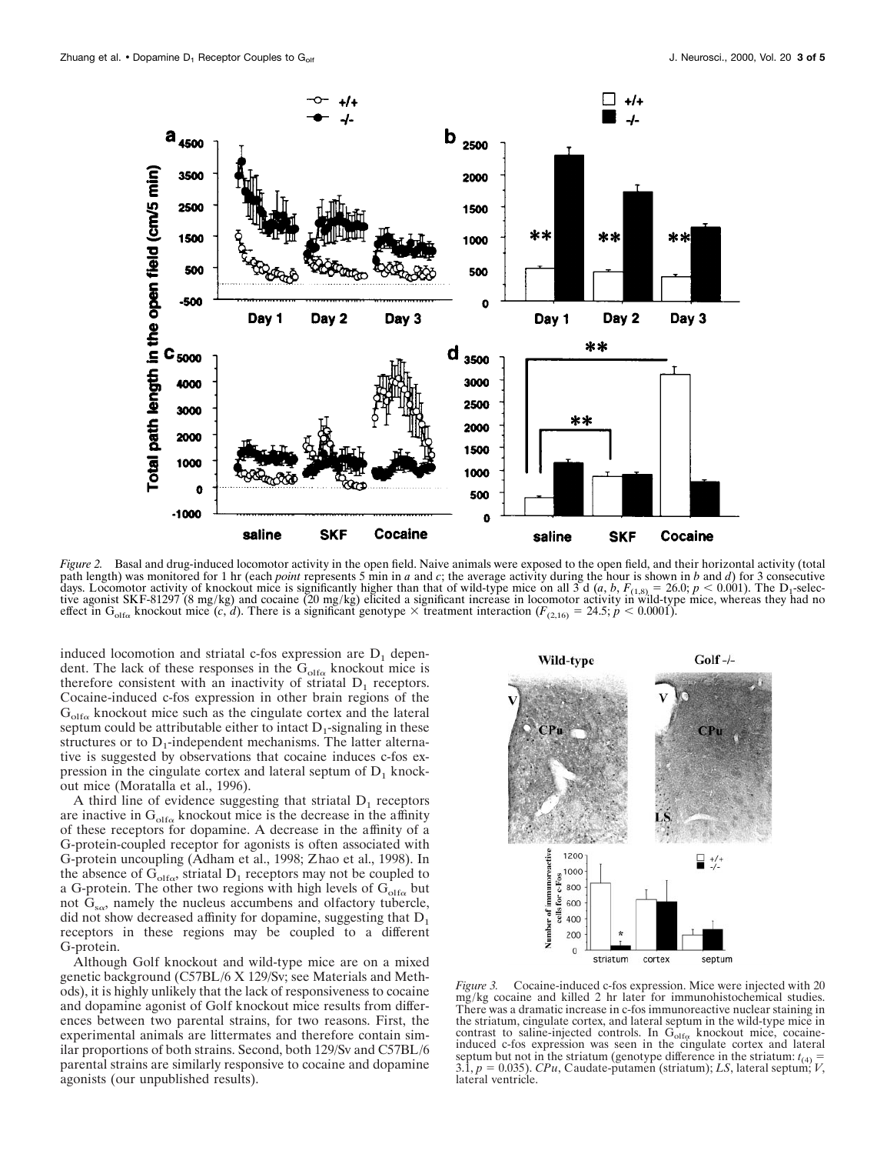

*Figure 2.* Basal and drug-induced locomotor activity in the open field. Naive animals were exposed to the open field, and their horizontal activity (total path length) was monitored for 1 hr (each *point* represents 5 min in *a* and *c*; the average activity during the hour is shown in *b* and *d*) for 3 consecutive days. Locomotor activity of knockout mice is significantly higher than that of wild-type mice on all 3 d (*a*, *b*,  $F_{(1,8)} = 26.0$ ;  $p < 0.001$ ). The D<sub>1</sub>-selective agonist SKF-81297 (8 mg/kg) and cocaine (20 mg/kg) elici

induced locomotion and striatal c-fos expression are  $D_1$  dependent. The lack of these responses in the  $G<sub>olfo</sub>$  knockout mice is therefore consistent with an inactivity of striatal  $D_1$  receptors. Cocaine-induced c-fos expression in other brain regions of the  $G_{\text{olfo}}$  knockout mice such as the cingulate cortex and the lateral septum could be attributable either to intact  $D_1$ -signaling in these structures or to  $D_1$ -independent mechanisms. The latter alternative is suggested by observations that cocaine induces c-fos expression in the cingulate cortex and lateral septum of  $D_1$  knockout mice (Moratalla et al., 1996).

A third line of evidence suggesting that striatal  $D_1$  receptors are inactive in  $G<sub>olfo</sub>$  knockout mice is the decrease in the affinity of these receptors for dopamine. A decrease in the affinity of a G-protein-coupled receptor for agonists is often associated with G-protein uncoupling (Adham et al., 1998; Zhao et al., 1998). In the absence of  $G_{\text{olfo}}$ , striatal  $D_1$  receptors may not be coupled to a G-protein. The other two regions with high levels of  $G_{\text{olfo}}$  but not  $G_{s\alpha}$ , namely the nucleus accumbens and olfactory tubercle, did not show decreased affinity for dopamine, suggesting that  $D_1$ receptors in these regions may be coupled to a different G-protein.

Although Golf knockout and wild-type mice are on a mixed genetic background (C57BL/6 X 129/Sv; see Materials and Methods), it is highly unlikely that the lack of responsiveness to cocaine and dopamine agonist of Golf knockout mice results from differences between two parental strains, for two reasons. First, the experimental animals are littermates and therefore contain similar proportions of both strains. Second, both 129/Sv and C57BL/6 parental strains are similarly responsive to cocaine and dopamine agonists (our unpublished results).



*Figure 3.* Cocaine-induced c-fos expression. Mice were injected with 20 mg/kg cocaine and killed 2 hr later for immunohistochemical studies. There was a dramatic increase in c-fos immunoreactive nuclear staining in the striatum, cingulate cortex, and lateral septum in the wild-type mice in contrast to saline-injected controls. In  $G_{\text{olfo}}$  knockout mice, cocaine-induced c-fos expression was seen in the cingulate cortex and lateral septum but not in the striatum (genotype difference in the striatum:  $t_{(4)} = 3.1$ ,  $p = 0.035$ ). *CPu*, Caudate-putamen (striatum); *LS*, lateral septum; *V*, lateral ventricle.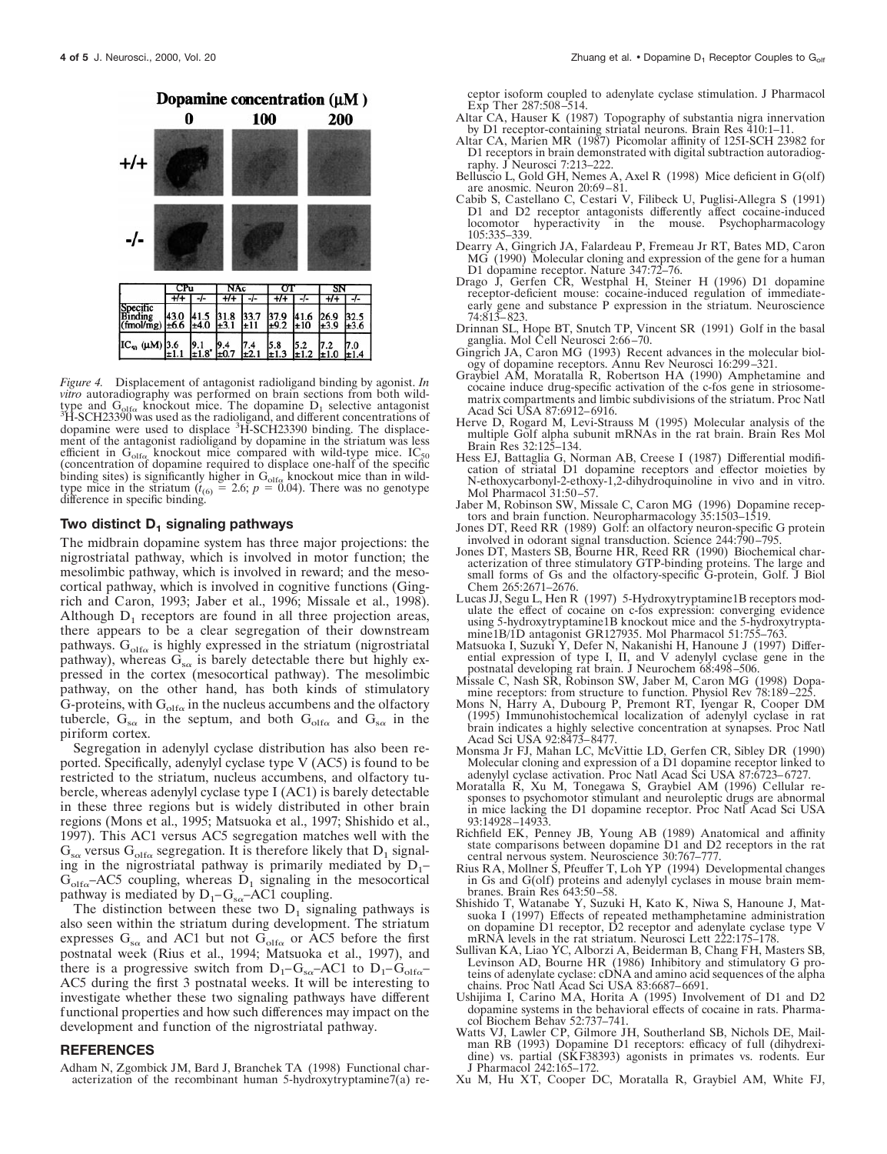

*Figure 4.* Displacement of antagonist radioligand binding by agonist. *In vitro* autoradiography was performed on brain sections from both wildtype and  $G_{\text{olfo}}$  knockout mice. The dopamine  $D_1$  selective antagonist  ${}^{3}H$ -SCH23390 was used as the radioligand, and different concentrations of dopamine were used to displace <sup>3</sup>H-SCH23390 binding. The displacement of the antagonist radioligand by dopamine in the striatum was less efficient in  $G_{\text{olfo}}$  knockout mice compared with wild-type mice. IC<sub>50</sub> (concentration of dopamine required to displace one-half of the specific binding sites) is significantly higher in  $G_{\text{olfo}}$  knockout mice than in wild-type mice in the striatum  $(t_{(6)} = 2.6; p = 0.04)$ . There was no genotype difference in specific binding.

#### **Two distinct D<sub>1</sub> signaling pathways**

The midbrain dopamine system has three major projections: the nigrostriatal pathway, which is involved in motor function; the mesolimbic pathway, which is involved in reward; and the mesocortical pathway, which is involved in cognitive functions (Gingrich and Caron, 1993; Jaber et al., 1996; Missale et al., 1998). Although  $D_1$  receptors are found in all three projection areas, there appears to be a clear segregation of their downstream pathways.  $G_{\text{olfo}}$  is highly expressed in the striatum (nigrostriatal pathway), whereas  $G_{s\alpha}$  is barely detectable there but highly expressed in the cortex (mesocortical pathway). The mesolimbic pathway, on the other hand, has both kinds of stimulatory G-proteins, with  $G_{\text{olfo}}$  in the nucleus accumbens and the olfactory tubercle,  $G_{s\alpha}$  in the septum, and both  $G_{\text{olfo}}$  and  $G_{s\alpha}$  in the piriform cortex.

Segregation in adenylyl cyclase distribution has also been reported. Specifically, adenylyl cyclase type V (AC5) is found to be restricted to the striatum, nucleus accumbens, and olfactory tubercle, whereas adenylyl cyclase type I (AC1) is barely detectable in these three regions but is widely distributed in other brain regions (Mons et al., 1995; Matsuoka et al., 1997; Shishido et al., 1997). This AC1 versus AC5 segregation matches well with the  $G_{s\alpha}$  versus  $G_{\text{olfo}}$  segregation. It is therefore likely that  $D_1$  signaling in the nigrostriatal pathway is primarily mediated by  $D_1$ –  $G_{\text{olfa}}$ –AC5 coupling, whereas  $D_1$  signaling in the mesocortical pathway is mediated by  $D_1-G_{s\alpha}$ -AC1 coupling.

The distinction between these two  $D_1$  signaling pathways is also seen within the striatum during development. The striatum expresses  $G_{s\alpha}$  and AC1 but not  $G_{\text{olfo}}$  or AC5 before the first postnatal week (Rius et al., 1994; Matsuoka et al., 1997), and there is a progressive switch from  $D_1-G_{s\alpha}$ -AC1 to  $D_1-G_{\text{off}\alpha}$ -AC5 during the first 3 postnatal weeks. It will be interesting to investigate whether these two signaling pathways have different functional properties and how such differences may impact on the development and function of the nigrostriatal pathway.

#### **REFERENCES**

Adham N, Zgombick JM, Bard J, Branchek TA (1998) Functional characterization of the recombinant human 5-hydroxytryptamine7(a) receptor isoform coupled to adenylate cyclase stimulation. J Pharmacol Exp Ther 287:508–514.

- Altar CA, Hauser K (1987) Topography of substantia nigra innervation by D1 receptor-containing striatal neurons. Brain Res 410:1–11.
- Altar CA, Marien MR (1987) Picomolar affinity of 125I-SCH 23982 for D1 receptors in brain demonstrated with digital subtraction autoradiography. J Neurosci 7:213–222.
- Belluscio L, Gold GH, Nemes A, Axel R (1998) Mice deficient in G(olf) are anosmic. Neuron 20:69–81.
- Cabib S, Castellano C, Cestari V, Filibeck U, Puglisi-Allegra S (1991) D1 and D2 receptor antagonists differently affect cocaine-induced locomotor hyperactivity in the mouse. Psychopharmacology 105:335–339.
- Dearry A, Gingrich JA, Falardeau P, Fremeau Jr RT, Bates MD, Caron MG (1990) Molecular cloning and expression of the gene for a human D1 dopamine receptor. Nature 347:72–76.
- Drago J, Gerfen CR, Westphal H, Steiner H (1996) D1 dopamine receptor-deficient mouse: cocaine-induced regulation of immediateearly gene and substance P expression in the striatum. Neuroscience 74:813–823.
- Drinnan SL, Hope BT, Snutch TP, Vincent SR (1991) Golf in the basal ganglia. Mol Cell Neurosci 2:66–70.
- Gingrich JA, Caron MG (1993) Recent advances in the molecular biology of dopamine receptors. Annu Rev Neurosci 16:299–321.
- Graybiel AM, Moratalla R, Robertson HA (1990) Amphetamine and cocaine induce drug-specific activation of the c-fos gene in striosomematrix compartments and limbic subdivisions of the striatum. Proc Natl Acad Sci USA 87:6912–6916.
- Herve D, Rogard M, Levi-Strauss M (1995) Molecular analysis of the multiple Golf alpha subunit mRNAs in the rat brain. Brain Res Mol Brain Res 32:125–134.
- Hess EJ, Battaglia G, Norman AB, Creese I (1987) Differential modification of striatal D1 dopamine receptors and effector moieties by N-ethoxycarbonyl-2-ethoxy-1,2-dihydroquinoline in vivo and in vitro. Mol Pharmacol 31:50–57.
- Jaber M, Robinson SW, Missale C, Caron MG (1996) Dopamine receptors and brain function. Neuropharmacology 35:1503–1519.
- Jones DT, Reed RR (1989) Golf: an olfactory neuron-specific G protein involved in odorant signal transduction. Science 244:790–795.
- Jones DT, Masters SB, Bourne HR, Reed RR (1990) Biochemical characterization of three stimulatory GTP-binding proteins. The large and small forms of Gs and the olfactory-specific G-protein, Golf. J Biol Chem 265:2671–2676.
- Lucas JJ, Segu L, Hen R (1997) 5-Hydroxytryptamine1B receptors modulate the effect of cocaine on c-fos expression: converging evidence using 5-hydroxytryptamine1B knockout mice and the 5-hydroxytryptamine1B/1D antagonist GR127935. Mol Pharmacol 51:755–763.
- Matsuoka I, Suzuki Y, Defer N, Nakanishi H, Hanoune J (1997) Differential expression of type I, II, and V adenylyl cyclase gene in the postnatal developing rat brain. J Neurochem 68:498–506.
- Missale C, Nash SR, Robinson SW, Jaber M, Caron MG (1998) Dopamine receptors: from structure to function. Physiol Rev 78:189–225.
- Mons N, Harry A, Dubourg P, Premont RT, Iyengar R, Cooper DM (1995) Immunohistochemical localization of adenylyl cyclase in rat brain indicates a highly selective concentration at synapses. Proc Natl Acad Sci USA 92:8473–8477.
- Monsma Jr FJ, Mahan LC, McVittie LD, Gerfen CR, Sibley DR (1990) Molecular cloning and expression of a D1 dopamine receptor linked to adenylyl cyclase activation. Proc Natl Acad Sci USA 87:6723–6727.
- Moratalla R, Xu M, Tonegawa S, Graybiel AM (1996) Cellular responses to psychomotor stimulant and neuroleptic drugs are abnormal in mice lacking the D1 dopamine receptor. Proc Natl Acad Sci USA 93:14928–14933.
- Richfield EK, Penney JB, Young AB (1989) Anatomical and affinity state comparisons between dopamine D1 and D2 receptors in the rat central nervous system. Neuroscience 30:767–777.
- Rius RA, Mollner S, Pfeuffer T, Loh YP (1994) Developmental changes in Gs and G(olf) proteins and adenylyl cyclases in mouse brain membranes. Brain Res 643:50–58.
- Shishido T, Watanabe Y, Suzuki H, Kato K, Niwa S, Hanoune J, Matsuoka I (1997) Effects of repeated methamphetamine administration on dopamine D1 receptor, D2 receptor and adenylate cyclase type V mRNA levels in the rat striatum. Neurosci Lett 222:175–178.
- Sullivan KA, Liao YC, Alborzi A, Beiderman B, Chang FH, Masters SB, Levinson AD, Bourne HR (1986) Inhibitory and stimulatory G proteins of adenylate cyclase: cDNA and amino acid sequences of the alpha chains. Proc Natl Acad Sci USA 83:6687–6691.
- Ushijima I, Carino MA, Horita A (1995) Involvement of D1 and D2 dopamine systems in the behavioral effects of cocaine in rats. Pharmacol Biochem Behav 52:737–741.
- Watts VJ, Lawler CP, Gilmore JH, Southerland SB, Nichols DE, Mailman RB (1993) Dopamine D1 receptors: efficacy of full (dihydrexidine) vs. partial (SKF38393) agonists in primates vs. rodents. Eur J Pharmacol 242:165–172.
- Xu M, Hu XT, Cooper DC, Moratalla R, Graybiel AM, White FJ,